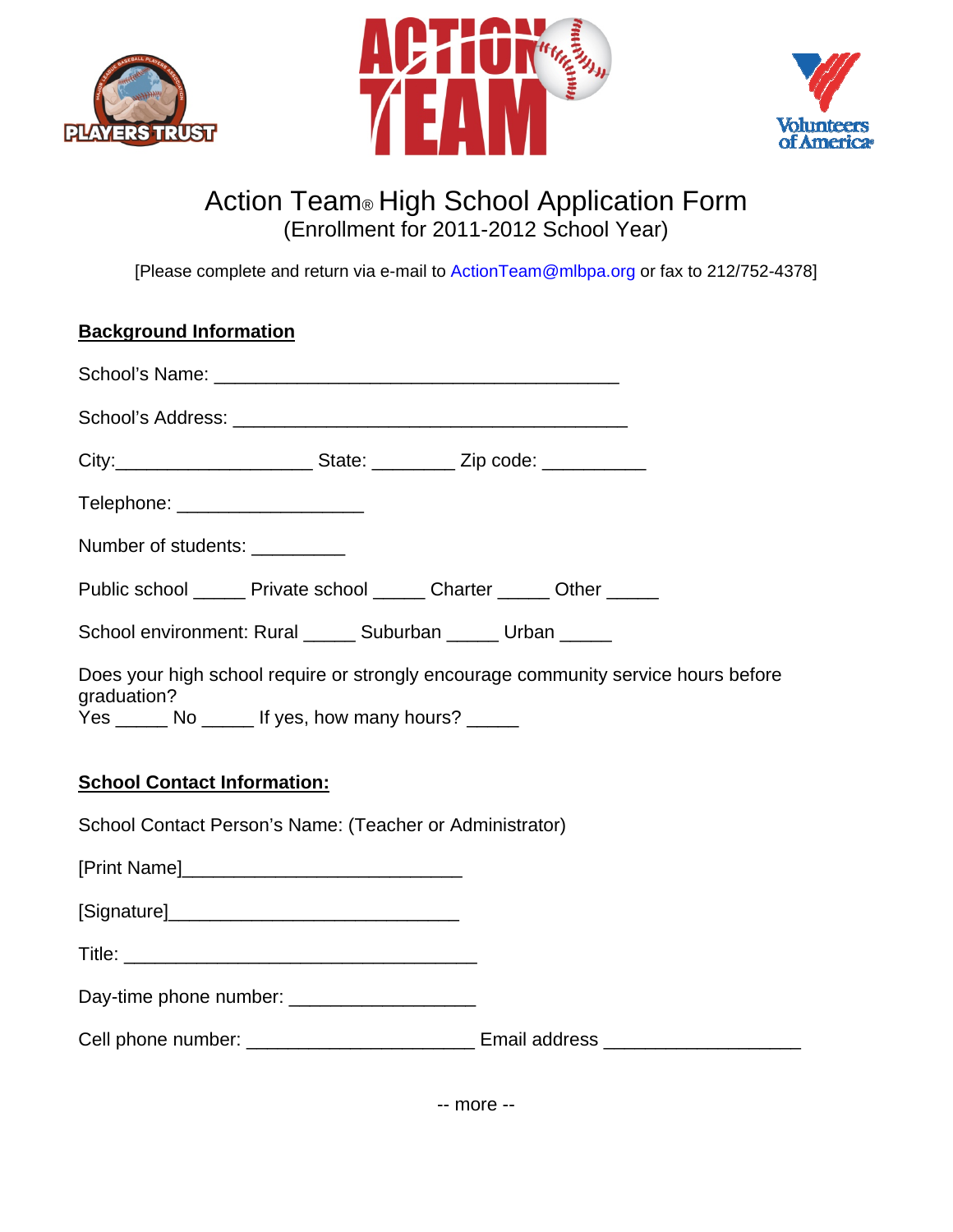





## Action Team® High School Application Form (Enrollment for 2011-2012 School Year)

[Please complete and return via e-mail to ActionTeam@mlbpa.org or fax to 212/752-4378]

## **Background Information**

| City:___________________________State: ___________ Zip code: _____________                                                                             |  |  |  |
|--------------------------------------------------------------------------------------------------------------------------------------------------------|--|--|--|
| Telephone: _____________________                                                                                                                       |  |  |  |
| Number of students: __________                                                                                                                         |  |  |  |
| Public school _______ Private school ______ Charter ______ Other _____                                                                                 |  |  |  |
| School environment: Rural ______ Suburban _____ Urban _____                                                                                            |  |  |  |
| Does your high school require or strongly encourage community service hours before<br>graduation?<br>Yes ______ No _____ If yes, how many hours? _____ |  |  |  |
| <b>School Contact Information:</b>                                                                                                                     |  |  |  |
| School Contact Person's Name: (Teacher or Administrator)                                                                                               |  |  |  |
| [Print Name]                                                                                                                                           |  |  |  |
|                                                                                                                                                        |  |  |  |
|                                                                                                                                                        |  |  |  |
| Day-time phone number: _____________________                                                                                                           |  |  |  |
| Cell phone number: ______________________________ Email address ________________                                                                       |  |  |  |